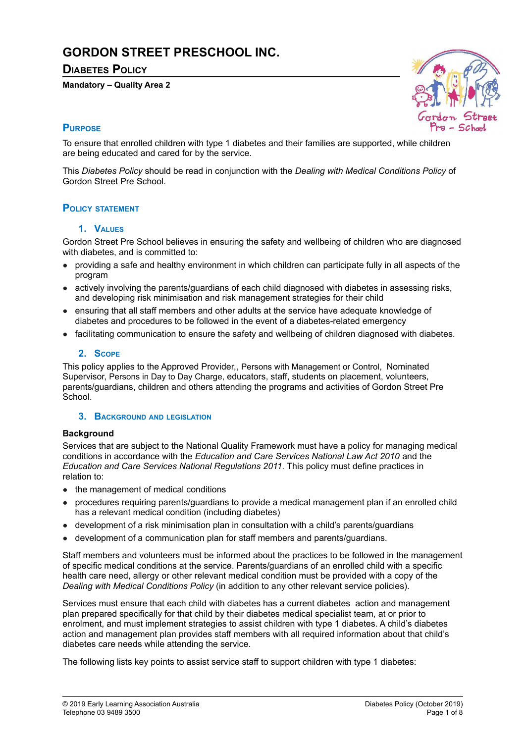# **GORDON STREET PRESCHOOL INC.**

# **DIABETES POLICY**

#### **Mandatory – Quality Area 2**



# **PURPOSE**

To ensure that enrolled children with type 1 diabetes and their families are supported, while children are being educated and cared for by the service.

This *Diabetes Policy* should be read in conjunction with the *Dealing with Medical Conditions Policy* of Gordon Street Pre School.

# **POLICY STATEMENT**

#### **1. VALUES**

Gordon Street Pre School believes in ensuring the safety and wellbeing of children who are diagnosed with diabetes, and is committed to:

- providing a safe and healthy environment in which children can participate fully in all aspects of the program
- actively involving the parents/guardians of each child diagnosed with diabetes in assessing risks, and developing risk minimisation and risk management strategies for their child
- ensuring that all staff members and other adults at the service have adequate knowledge of diabetes and procedures to be followed in the event of a diabetes-related emergency
- facilitating communication to ensure the safety and wellbeing of children diagnosed with diabetes.

#### **2. SCOPE**

This policy applies to the Approved Provider,, Persons with Management or Control, Nominated Supervisor, Persons in Day to Day Charge, educators, staff, students on placement, volunteers, parents/guardians, children and others attending the programs and activities of Gordon Street Pre **School**.

#### **3. BACKGROUND AND LEGISLATION**

#### **Background**

Services that are subject to the National Quality Framework must have a policy for managing medical conditions in accordance with the *Education and Care Services National Law Act 2010* and the *Education and Care Services National Regulations 2011*. This policy must define practices in relation to:

- the management of medical conditions
- procedures requiring parents/guardians to provide a medical management plan if an enrolled child has a relevant medical condition (including diabetes)
- development of a risk minimisation plan in consultation with a child's parents/guardians
- development of a communication plan for staff members and parents/guardians.

Staff members and volunteers must be informed about the practices to be followed in the management of specific medical conditions at the service. Parents/guardians of an enrolled child with a specific health care need, allergy or other relevant medical condition must be provided with a copy of the *Dealing with Medical Conditions Policy* (in addition to any other relevant service policies).

Services must ensure that each child with diabetes has a current diabetes action and management plan prepared specifically for that child by their diabetes medical specialist team, at or prior to enrolment, and must implement strategies to assist children with type 1 diabetes. A child's diabetes action and management plan provides staff members with all required information about that child's diabetes care needs while attending the service.

The following lists key points to assist service staff to support children with type 1 diabetes: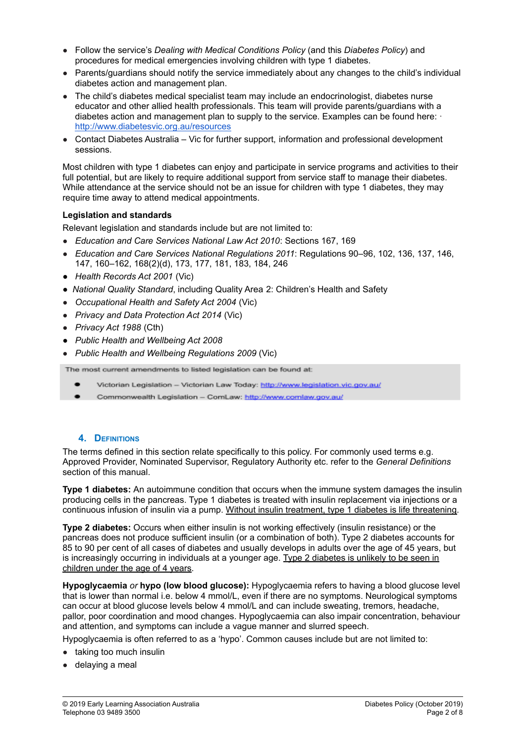- Follow the service's *Dealing with Medical Conditions Policy* (and this *Diabetes Policy*) and procedures for medical emergencies involving children with type 1 diabetes.
- Parents/guardians should notify the service immediately about any changes to the child's individual diabetes action and management plan.
- The child's diabetes medical specialist team may include an endocrinologist, diabetes nurse educator and other allied health professionals. This team will provide parents/guardians with a diabetes action and management plan to supply to the service. Examples can be found here:  $\cdot$ <http://www.diabetesvic.org.au/resources>
- Contact Diabetes Australia Vic for further support, information and professional development sessions.

Most children with type 1 diabetes can enjoy and participate in service programs and activities to their full potential, but are likely to require additional support from service staff to manage their diabetes. While attendance at the service should not be an issue for children with type 1 diabetes, they may require time away to attend medical appointments.

#### **Legislation and standards**

Relevant legislation and standards include but are not limited to:

- *Education and Care Services National Law Act 2010*: Sections 167, 169
- *Education and Care Services National Regulations 2011*: Regulations 90–96, 102, 136, 137, 146, 147, 160–162, 168(2)(d), 173, 177, 181, 183, 184, 246
- *Health Records Act 2001* (Vic)
- *National Quality Standard*, including Quality Area 2: Children's Health and Safety
- *Occupational Health and Safety Act 2004* (Vic)
- *Privacy and Data Protection Act 2014* (Vic)
- *Privacy Act 1988* (Cth)
- *● Public Health and Wellbeing Act 2008*
- *Public Health and Wellbeing Regulations 2009* (Vic)

The most current amendments to listed legislation can be found at:

- Victorian Legislation Victorian Law Today: http://www.legislation.vic.gov.au/
- Commonwealth Legislation ComLaw: http://www.comlaw.gov.au/

#### **4. DEFINITIONS**

The terms defined in this section relate specifically to this policy. For commonly used terms e.g. Approved Provider, Nominated Supervisor, Regulatory Authority etc. refer to the *General Definitions* section of this manual.

**Type 1 diabetes:** An autoimmune condition that occurs when the immune system damages the insulin producing cells in the pancreas. Type 1 diabetes is treated with insulin replacement via injections or a continuous infusion of insulin via a pump. Without insulin treatment, type 1 diabetes is life threatening.

**Type 2 diabetes:** Occurs when either insulin is not working effectively (insulin resistance) or the pancreas does not produce sufficient insulin (or a combination of both). Type 2 diabetes accounts for 85 to 90 per cent of all cases of diabetes and usually develops in adults over the age of 45 years, but is increasingly occurring in individuals at a younger age. Type 2 diabetes is unlikely to be seen in children under the age of 4 years.

**Hypoglycaemia** *or* **hypo (low blood glucose):** Hypoglycaemia refers to having a blood glucose level that is lower than normal i.e. below 4 mmol/L, even if there are no symptoms. Neurological symptoms can occur at blood glucose levels below 4 mmol/L and can include sweating, tremors, headache, pallor, poor coordination and mood changes. Hypoglycaemia can also impair concentration, behaviour and attention, and symptoms can include a vague manner and slurred speech.

Hypoglycaemia is often referred to as a 'hypo'. Common causes include but are not limited to:

- taking too much insulin
- delaying a meal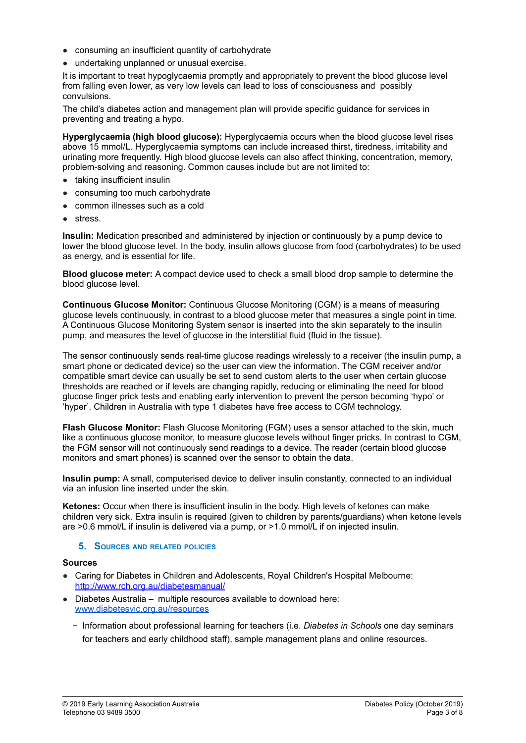- consuming an insufficient quantity of carbohydrate
- undertaking unplanned or unusual exercise.

It is important to treat hypoglycaemia promptly and appropriately to prevent the blood glucose level from falling even lower, as very low levels can lead to loss of consciousness and possibly convulsions.

The child's diabetes action and management plan will provide specific guidance for services in preventing and treating a hypo.

**Hyperglycaemia (high blood glucose):** Hyperglycaemia occurs when the blood glucose level rises above 15 mmol/L. Hyperglycaemia symptoms can include increased thirst, tiredness, irritability and urinating more frequently. High blood glucose levels can also affect thinking, concentration, memory, problem-solving and reasoning. Common causes include but are not limited to:

- taking insufficient insulin
- consuming too much carbohydrate
- common illnesses such as a cold
- stress.

**Insulin:** Medication prescribed and administered by injection or continuously by a pump device to lower the blood glucose level. In the body, insulin allows glucose from food (carbohydrates) to be used as energy, and is essential for life.

**Blood glucose meter:** A compact device used to check a small blood drop sample to determine the blood glucose level.

**Continuous Glucose Monitor:** Continuous Glucose Monitoring (CGM) is a means of measuring glucose levels continuously, in contrast to a blood glucose meter that measures a single point in time. A Continuous Glucose Monitoring System sensor is inserted into the skin separately to the insulin pump, and measures the level of glucose in the interstitial fluid (fluid in the tissue).

The sensor continuously sends real-time glucose readings wirelessly to a receiver (the insulin pump, a smart phone or dedicated device) so the user can view the information. The CGM receiver and/or compatible smart device can usually be set to send custom alerts to the user when certain glucose thresholds are reached or if levels are changing rapidly, reducing or eliminating the need for blood glucose finger prick tests and enabling early intervention to prevent the person becoming 'hypo' or 'hyper'. Children in Australia with type 1 diabetes have free access to CGM technology.

**Flash Glucose Monitor:** Flash Glucose Monitoring (FGM) uses a sensor attached to the skin, much like a continuous glucose monitor, to measure glucose levels without finger pricks. In contrast to CGM, the FGM sensor will not continuously send readings to a device. The reader (certain blood glucose monitors and smart phones) is scanned over the sensor to obtain the data.

**Insulin pump:** A small, computerised device to deliver insulin constantly, connected to an individual via an infusion line inserted under the skin.

**Ketones:** Occur when there is insufficient insulin in the body. High levels of ketones can make children very sick. Extra insulin is required (given to children by parents/guardians) when ketone levels are >0.6 mmol/L if insulin is delivered via a pump, or >1.0 mmol/L if on injected insulin.

#### **5. SOURCES AND RELATED POLICIES**

#### **Sources**

- Caring for Diabetes in Children and [Adolescents,](http://www.rch.org.au/diabetesmanual/index.cfm?doc_id=2352) Royal Children's Hospital Melbourne: <http://www.rch.org.au/diabetesmanual/>
- Diabetes Australia multiple resources available to download here: [www.diabetesvic.org.au/resources](http://www.diabetesvic.org.au/resources)
	- − Information about professional learning for teachers (i.e. *Diabetes in Schools* one day seminars for teachers and early childhood staff), sample management plans and online resources.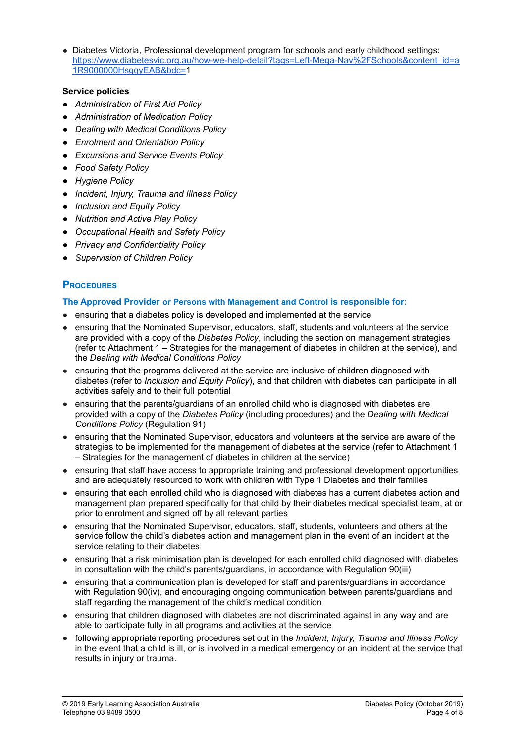• Diabetes Victoria, Professional development program for schools and early childhood settings: [https://www.diabetesvic.org.au/how-we-help-detail?tags=Left-Mega-Nav%2FSchools&content\\_id=a](https://www.diabetesvic.org.au/how-we-help-detail?tags=Left-Mega-Nav%2FSchools&content_id=a1R9000000HsgqyEAB&bdc=1) [1R9000000HsgqyEAB&bdc=1](https://www.diabetesvic.org.au/how-we-help-detail?tags=Left-Mega-Nav%2FSchools&content_id=a1R9000000HsgqyEAB&bdc=1)

#### **Service policies**

- *● Administration of First Aid Policy*
- *● Administration of Medication Policy*
- *● Dealing with Medical Conditions Policy*
- *● Enrolment and Orientation Policy*
- *● Excursions and Service Events Policy*
- *● Food Safety Policy*
- *● Hygiene Policy*
- *● Incident, Injury, Trauma and Illness Policy*
- *● Inclusion and Equity Policy*
- *● Nutrition and Active Play Policy*
- *● Occupational Health and Safety Policy*
- *● Privacy and Confidentiality Policy*
- *● Supervision of Children Policy*

# **PROCEDURES**

#### **The Approved Provider or Persons with Management and Control is responsible for:**

- ensuring that a diabetes policy is developed and implemented at the service
- ensuring that the Nominated Supervisor, educators, staff, students and volunteers at the service are provided with a copy of the *Diabetes Policy*, including the section on management strategies (refer to Attachment 1 – Strategies for the management of diabetes in children at the service), and the *Dealing with Medical Conditions Policy*
- ensuring that the programs delivered at the service are inclusive of children diagnosed with diabetes (refer to *Inclusion and Equity Policy*), and that children with diabetes can participate in all activities safely and to their full potential
- ensuring that the parents/guardians of an enrolled child who is diagnosed with diabetes are provided with a copy of the *Diabetes Policy* (including procedures) and the *Dealing with Medical Conditions Policy* (Regulation 91)
- ensuring that the Nominated Supervisor, educators and volunteers at the service are aware of the strategies to be implemented for the management of diabetes at the service (refer to Attachment 1 – Strategies for the management of diabetes in children at the service)
- ensuring that staff have access to appropriate training and professional development opportunities and are adequately resourced to work with children with Type 1 Diabetes and their families
- ensuring that each enrolled child who is diagnosed with diabetes has a current diabetes action and management plan prepared specifically for that child by their diabetes medical specialist team, at or prior to enrolment and signed off by all relevant parties
- ensuring that the Nominated Supervisor, educators, staff, students, volunteers and others at the service follow the child's diabetes action and management plan in the event of an incident at the service relating to their diabetes
- ensuring that a risk minimisation plan is developed for each enrolled child diagnosed with diabetes in consultation with the child's parents/guardians, in accordance with Regulation 90(iii)
- ensuring that a communication plan is developed for staff and parents/guardians in accordance with Regulation 90(iv), and encouraging ongoing communication between parents/guardians and staff regarding the management of the child's medical condition
- ensuring that children diagnosed with diabetes are not discriminated against in any way and are able to participate fully in all programs and activities at the service
- following appropriate reporting procedures set out in the *Incident, Injury, Trauma and Illness Policy* in the event that a child is ill, or is involved in a medical emergency or an incident at the service that results in injury or trauma.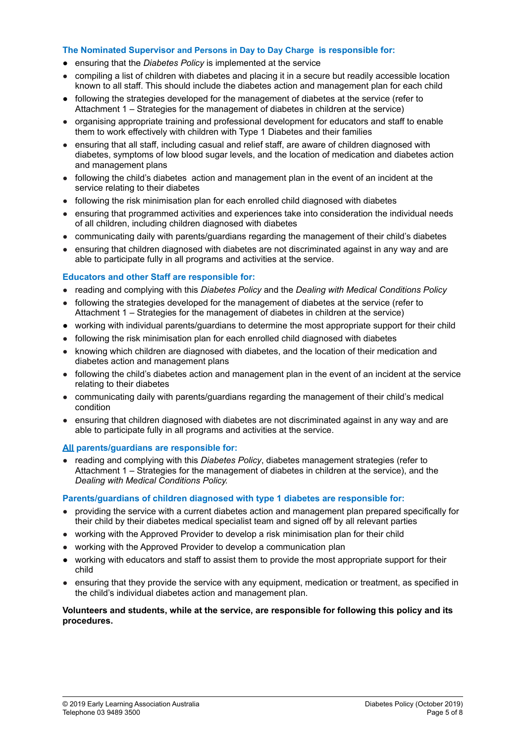#### **The Nominated Supervisor and Persons in Day to Day Charge is responsible for:**

- **●** ensuring that the *Diabetes Policy* is implemented at the service
- compiling a list of children with diabetes and placing it in a secure but readily accessible location known to all staff. This should include the diabetes action and management plan for each child
- *●* following the strategies developed for the management of diabetes at the service (refer to Attachment 1 – Strategies for the management of diabetes in children at the service)
- organising appropriate training and professional development for educators and staff to enable them to work effectively with children with Type 1 Diabetes and their families
- ensuring that all staff, including casual and relief staff, are aware of children diagnosed with diabetes, symptoms of low blood sugar levels, and the location of medication and diabetes action and management plans
- following the child's diabetes action and management plan in the event of an incident at the service relating to their diabetes
- following the risk minimisation plan for each enrolled child diagnosed with diabetes
- ensuring that programmed activities and experiences take into consideration the individual needs of all children, including children diagnosed with diabetes
- communicating daily with parents/guardians regarding the management of their child's diabetes
- ensuring that children diagnosed with diabetes are not discriminated against in any way and are able to participate fully in all programs and activities at the service.

#### **Educators and other Staff are responsible for:**

- reading and complying with this *Diabetes Policy* and the *Dealing with Medical Conditions Policy*
- following the strategies developed for the management of diabetes at the service (refer to Attachment 1 – Strategies for the management of diabetes in children at the service)
- working with individual parents/guardians to determine the most appropriate support for their child
- following the risk minimisation plan for each enrolled child diagnosed with diabetes
- knowing which children are diagnosed with diabetes, and the location of their medication and diabetes action and management plans
- following the child's diabetes action and management plan in the event of an incident at the service relating to their diabetes
- communicating daily with parents/guardians regarding the management of their child's medical condition
- ensuring that children diagnosed with diabetes are not discriminated against in any way and are able to participate fully in all programs and activities at the service.

#### **All parents/guardians are responsible for:**

● reading and complying with this *Diabetes Policy*, diabetes management strategies (refer to Attachment 1 – Strategies for the management of diabetes in children at the service), and the *Dealing with Medical Conditions Policy.*

#### **Parents/guardians of children diagnosed with type 1 diabetes are responsible for:**

- providing the service with a current diabetes action and management plan prepared specifically for their child by their diabetes medical specialist team and signed off by all relevant parties
- working with the Approved Provider to develop a risk minimisation plan for their child
- working with the Approved Provider to develop a communication plan
- working with educators and staff to assist them to provide the most appropriate support for their child
- ensuring that they provide the service with any equipment, medication or treatment, as specified in the child's individual diabetes action and management plan.

#### **Volunteers and students, while at the service, are responsible for following this policy and its procedures.**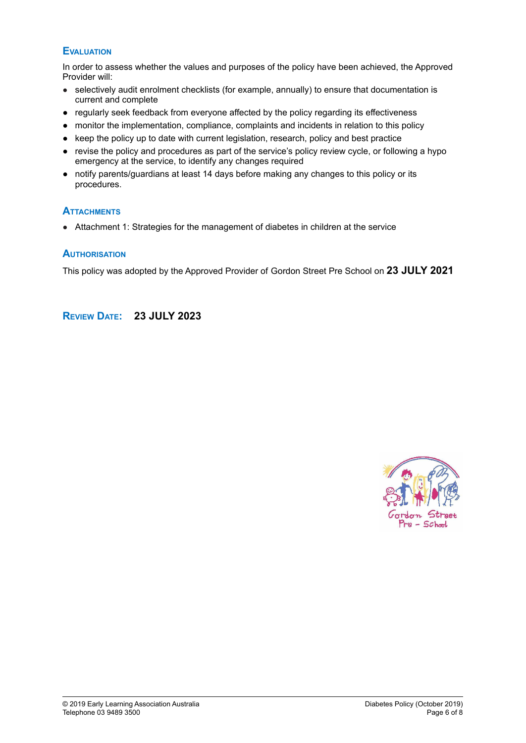## **EVALUATION**

In order to assess whether the values and purposes of the policy have been achieved, the Approved Provider will:

- selectively audit enrolment checklists (for example, annually) to ensure that documentation is current and complete
- regularly seek feedback from everyone affected by the policy regarding its effectiveness
- monitor the implementation, compliance, complaints and incidents in relation to this policy
- keep the policy up to date with current legislation, research, policy and best practice
- **●** revise the policy and procedures as part of the service's policy review cycle, or following a hypo emergency at the service, to identify any changes required
- **●** notify parents/guardians at least 14 days before making any changes to this policy or its procedures.

#### **ATTACHMENTS**

● Attachment 1: Strategies for the management of diabetes in children at the service

#### **AUTHORISATION**

This policy was adopted by the Approved Provider of Gordon Street Pre School on **23 JULY 2021**

## **REVIEW DATE: 23 JULY 2023**

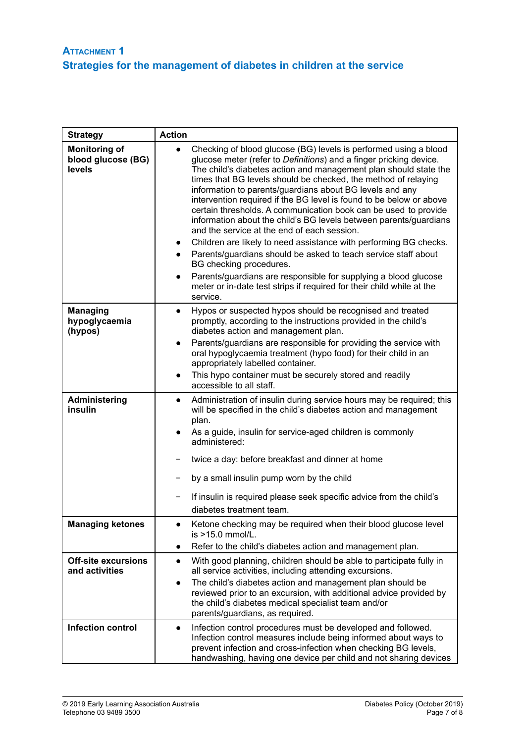| <b>Strategy</b>                                      | <b>Action</b>                                                                                                                                                                                                                                                                                                                                                                                                                                                                                                                                                                                                                                                                                                                                                                                                                                                                                                                                                           |
|------------------------------------------------------|-------------------------------------------------------------------------------------------------------------------------------------------------------------------------------------------------------------------------------------------------------------------------------------------------------------------------------------------------------------------------------------------------------------------------------------------------------------------------------------------------------------------------------------------------------------------------------------------------------------------------------------------------------------------------------------------------------------------------------------------------------------------------------------------------------------------------------------------------------------------------------------------------------------------------------------------------------------------------|
| <b>Monitoring of</b><br>blood glucose (BG)<br>levels | Checking of blood glucose (BG) levels is performed using a blood<br>glucose meter (refer to Definitions) and a finger pricking device.<br>The child's diabetes action and management plan should state the<br>times that BG levels should be checked, the method of relaying<br>information to parents/guardians about BG levels and any<br>intervention required if the BG level is found to be below or above<br>certain thresholds. A communication book can be used to provide<br>information about the child's BG levels between parents/guardians<br>and the service at the end of each session.<br>Children are likely to need assistance with performing BG checks.<br>$\bullet$<br>Parents/guardians should be asked to teach service staff about<br>$\bullet$<br>BG checking procedures.<br>Parents/guardians are responsible for supplying a blood glucose<br>$\bullet$<br>meter or in-date test strips if required for their child while at the<br>service. |
| <b>Managing</b><br>hypoglycaemia<br>(hypos)          | Hypos or suspected hypos should be recognised and treated<br>$\bullet$<br>promptly, according to the instructions provided in the child's<br>diabetes action and management plan.                                                                                                                                                                                                                                                                                                                                                                                                                                                                                                                                                                                                                                                                                                                                                                                       |
|                                                      | Parents/guardians are responsible for providing the service with<br>$\bullet$<br>oral hypoglycaemia treatment (hypo food) for their child in an<br>appropriately labelled container.                                                                                                                                                                                                                                                                                                                                                                                                                                                                                                                                                                                                                                                                                                                                                                                    |
|                                                      | This hypo container must be securely stored and readily<br>$\bullet$<br>accessible to all staff.                                                                                                                                                                                                                                                                                                                                                                                                                                                                                                                                                                                                                                                                                                                                                                                                                                                                        |
| Administering<br>insulin                             | Administration of insulin during service hours may be required; this<br>will be specified in the child's diabetes action and management<br>plan.                                                                                                                                                                                                                                                                                                                                                                                                                                                                                                                                                                                                                                                                                                                                                                                                                        |
|                                                      | As a guide, insulin for service-aged children is commonly<br>administered:                                                                                                                                                                                                                                                                                                                                                                                                                                                                                                                                                                                                                                                                                                                                                                                                                                                                                              |
|                                                      | twice a day: before breakfast and dinner at home                                                                                                                                                                                                                                                                                                                                                                                                                                                                                                                                                                                                                                                                                                                                                                                                                                                                                                                        |
|                                                      | by a small insulin pump worn by the child                                                                                                                                                                                                                                                                                                                                                                                                                                                                                                                                                                                                                                                                                                                                                                                                                                                                                                                               |
|                                                      | If insulin is required please seek specific advice from the child's<br>diabetes treatment team.                                                                                                                                                                                                                                                                                                                                                                                                                                                                                                                                                                                                                                                                                                                                                                                                                                                                         |
| <b>Managing ketones</b>                              | Ketone checking may be required when their blood glucose level<br>is >15.0 mmol/L.                                                                                                                                                                                                                                                                                                                                                                                                                                                                                                                                                                                                                                                                                                                                                                                                                                                                                      |
|                                                      | Refer to the child's diabetes action and management plan.<br>$\bullet$                                                                                                                                                                                                                                                                                                                                                                                                                                                                                                                                                                                                                                                                                                                                                                                                                                                                                                  |
| <b>Off-site excursions</b><br>and activities         | With good planning, children should be able to participate fully in<br>$\bullet$<br>all service activities, including attending excursions.                                                                                                                                                                                                                                                                                                                                                                                                                                                                                                                                                                                                                                                                                                                                                                                                                             |
|                                                      | The child's diabetes action and management plan should be<br>$\bullet$<br>reviewed prior to an excursion, with additional advice provided by<br>the child's diabetes medical specialist team and/or<br>parents/guardians, as required.                                                                                                                                                                                                                                                                                                                                                                                                                                                                                                                                                                                                                                                                                                                                  |
| <b>Infection control</b>                             | Infection control procedures must be developed and followed.<br>$\bullet$<br>Infection control measures include being informed about ways to<br>prevent infection and cross-infection when checking BG levels,<br>handwashing, having one device per child and not sharing devices                                                                                                                                                                                                                                                                                                                                                                                                                                                                                                                                                                                                                                                                                      |